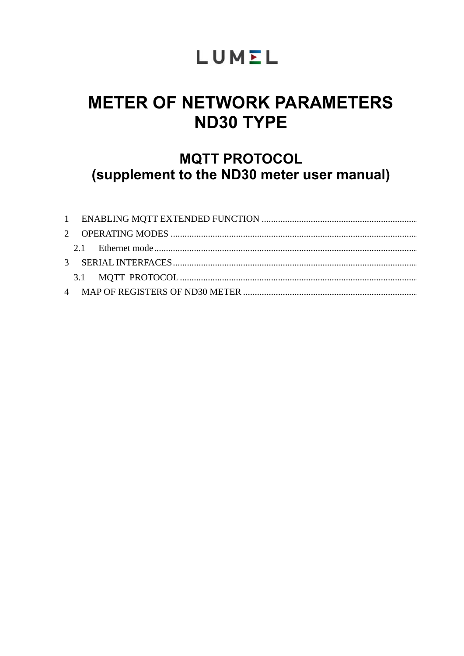# LUMEL

# **METER OF NETWORK PARAMETERS ND30 TYPE**

## **MQTT PROTOCOL** (supplement to the ND30 meter user manual)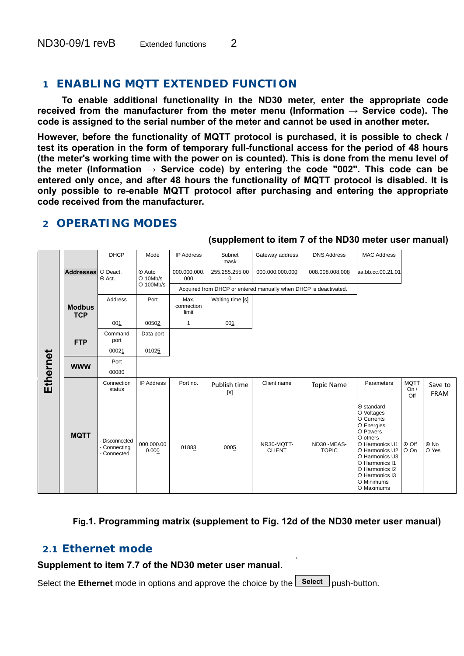### **1 ENABLING MQTT EXTENDED FUNCTION**

**To enable additional functionality in the ND30 meter, enter the appropriate code received from the manufacturer from the meter menu (Information → Service code). The code is assigned to the serial number of the meter and cannot be used in another meter.**

**However, before the functionality of MQTT protocol is purchased, it is possible to check / test its operation in the form of temporary full-functional access for the period of 48 hours (the meter's working time with the power on is counted). This is done from the menu level of**  the meter (Information  $\rightarrow$  Service code) by entering the code "002". This code can be **entered only once, and after 48 hours the functionality of MQTT protocol is disabled. It is only possible to re-enable MQTT protocol after purchasing and entering the appropriate code received from the manufacturer.**

|          |                             | <b>DHCP</b>                                 | Mode                 | <b>IP Address</b>           | Subnet<br>mask                   | Gateway address                                                  | <b>DNS Address</b>         | <b>MAC Address</b>                                                                                                                                                                                                     |                            |                        |
|----------|-----------------------------|---------------------------------------------|----------------------|-----------------------------|----------------------------------|------------------------------------------------------------------|----------------------------|------------------------------------------------------------------------------------------------------------------------------------------------------------------------------------------------------------------------|----------------------------|------------------------|
|          | <b>Addresses</b>            | O Deact.<br>⊙ Act.                          | ⊙ Auto<br>$O$ 10Mb/s | 000.000.000.<br>000         | 255.255.255.00<br>$\overline{0}$ | 000.000.000.000                                                  | 008.008.008.008            | aa.bb.cc.00.21.01                                                                                                                                                                                                      |                            |                        |
|          |                             |                                             | O 100Mb/s            |                             |                                  | Acquired from DHCP or entered manually when DHCP is deactivated. |                            |                                                                                                                                                                                                                        |                            |                        |
|          | <b>Modbus</b><br><b>TCP</b> | Address                                     | Port                 | Max.<br>connection<br>limit | Waiting time [s]                 |                                                                  |                            |                                                                                                                                                                                                                        |                            |                        |
|          |                             | 001                                         | 00502                | $\mathbf{1}$                | 001                              |                                                                  |                            |                                                                                                                                                                                                                        |                            |                        |
|          | <b>FTP</b>                  | Command<br>port                             | Data port            |                             |                                  |                                                                  |                            |                                                                                                                                                                                                                        |                            |                        |
|          |                             | 00021                                       | 01025                |                             |                                  |                                                                  |                            |                                                                                                                                                                                                                        |                            |                        |
| Ethernet | <b>WWW</b>                  | Port<br>00080                               |                      |                             |                                  |                                                                  |                            |                                                                                                                                                                                                                        |                            |                        |
|          |                             | Connection<br>status                        | <b>IP Address</b>    | Port no.                    | Publish time<br>[s]              | Client name                                                      | <b>Topic Name</b>          | Parameters                                                                                                                                                                                                             | <b>MQTT</b><br>On /<br>Off | Save to<br><b>FRAM</b> |
|          | <b>MQTT</b>                 | Disconnected<br>- Connecting<br>- Connected | 000.000.00<br>0.000  | 01883                       | 0005                             | NR30-MQTT-<br><b>CLIENT</b>                                      | ND30-MEAS-<br><b>TOPIC</b> | ⊙ standard<br>O Voltages<br>O Currents<br>O Energies<br>O Powers<br>$O$ others<br>O Harmonics U1<br>O Harmonics U2<br>O Harmonics U3<br>O Harmonics I1<br>O Harmonics I2<br>O Harmonics I3<br>O Minimums<br>O Maximums | ⊙ Off<br>O On              | $\odot$ No<br>O Yes    |

### **2 OPERATING MODES**

#### **(supplement to item 7 of the ND30 meter user manual)**

### **Fig.1. Programming matrix (supplement to Fig. 12d of the ND30 meter user manual)**

### *2.1 Ethernet mode*

#### **Supplement to item 7.7 of the ND30 meter user manual.**

Select the **Ethernet** mode in options and approve the choice by the **Select** push-button.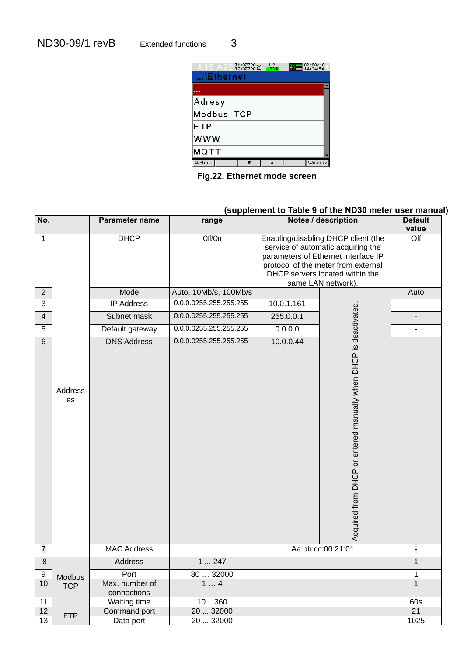$A1 = A2 = 71:377^{\circ}C$  12<br>  $12.377^{\circ}C$  12:372 14:24:54  $...$ Ethernet Adresy Modbus TCP FTP www **MQTT** Wstecz**e Table Table 1** Wybierz

**Fig.22. Ethernet mode screen** 

### **(supplement to Table 9 of the ND30 meter user manual)**

|                         |               |                               | supplement to Table 5 or the ND30 meter | ust mand   |                                                                                                                                                                                                                  |                          |
|-------------------------|---------------|-------------------------------|-----------------------------------------|------------|------------------------------------------------------------------------------------------------------------------------------------------------------------------------------------------------------------------|--------------------------|
| No.                     |               | Parameter name                | range                                   |            | Notes / description                                                                                                                                                                                              | <b>Default</b><br>value  |
| $\mathbf{1}$            |               | <b>DHCP</b>                   | Off/On                                  |            | Enabling/disabling DHCP client (the<br>service of automatic acquiring the<br>parameters of Ethernet interface IP<br>protocol of the meter from external<br>DHCP servers located within the<br>same LAN network). | $\overline{Off}$         |
| $\overline{2}$          |               | Mode                          | Auto, 10Mb/s, 100Mb/s                   |            |                                                                                                                                                                                                                  | Auto                     |
| $\overline{3}$          |               | <b>IP Address</b>             | 0.0.0.0255.255.255.255                  | 10.0.1.161 |                                                                                                                                                                                                                  |                          |
| $\overline{\mathbf{4}}$ |               | Subnet mask                   | 0.0.0.0255.255.255.255                  | 255.0.0.1  |                                                                                                                                                                                                                  |                          |
| 5                       |               | Default gateway               | 0.0.0.0255.255.255.255                  | 0.0.0.0    |                                                                                                                                                                                                                  | $\overline{\phantom{a}}$ |
| $\,6\,$                 | Address<br>es | <b>DNS Address</b>            | 0.0.0.0255.255.255.255                  | 10.0.0.44  | Acquired from DHCP or entered manually when DHCP is deactivated                                                                                                                                                  |                          |
| $\overline{7}$          |               | <b>MAC Address</b>            |                                         |            | Aa:bb:cc:00:21:01                                                                                                                                                                                                |                          |
| $\overline{8}$          |               | Address                       | 1247                                    |            |                                                                                                                                                                                                                  | $\mathbf 1$              |
| 9                       | Modbus        | Port                          | 80  32000                               |            |                                                                                                                                                                                                                  | $\mathbf 1$              |
| 10                      | <b>TCP</b>    | Max. number of<br>connections | 14                                      |            |                                                                                                                                                                                                                  | $\mathbf{1}$             |
| 11                      |               | Waiting time                  | 10360                                   |            |                                                                                                                                                                                                                  | 60s                      |
| 12                      | <b>FTP</b>    | Command port                  | 20  32000                               |            |                                                                                                                                                                                                                  | $\overline{21}$          |
| $\overline{13}$         |               | Data port                     | 20  32000                               |            |                                                                                                                                                                                                                  | 1025                     |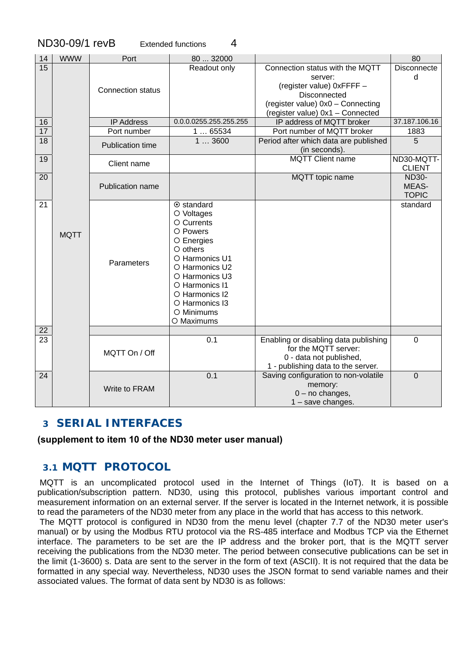|                 | ND30-09/1 revB |                          | 4<br><b>Extended functions</b>                                                                                                                                                                                               |                                                                                                                                                                  |                                       |
|-----------------|----------------|--------------------------|------------------------------------------------------------------------------------------------------------------------------------------------------------------------------------------------------------------------------|------------------------------------------------------------------------------------------------------------------------------------------------------------------|---------------------------------------|
| 14              | <b>WWW</b>     | Port                     | 80  32000                                                                                                                                                                                                                    |                                                                                                                                                                  | 80                                    |
| $\overline{15}$ |                | <b>Connection status</b> | Readout only                                                                                                                                                                                                                 | Connection status with the MQTT<br>server:<br>(register value) 0xFFFF -<br>Disconnected<br>(register value) 0x0 - Connecting<br>(register value) 0x1 - Connected | <b>Disconnecte</b><br>d               |
| 16              |                | <b>IP Address</b>        | 0.0.0.0255.255.255.255                                                                                                                                                                                                       | IP address of MQTT broker                                                                                                                                        | 37.187.106.16                         |
| 17              |                | Port number              | 165534                                                                                                                                                                                                                       | Port number of MQTT broker                                                                                                                                       | 1883                                  |
| 18              |                | <b>Publication time</b>  | 13600                                                                                                                                                                                                                        | Period after which data are published<br>(in seconds).                                                                                                           | 5                                     |
| 19              |                | Client name              |                                                                                                                                                                                                                              | <b>MQTT Client name</b>                                                                                                                                          | ND30-MQTT-<br><b>CLIENT</b>           |
| 20              |                | Publication name         |                                                                                                                                                                                                                              | MQTT topic name                                                                                                                                                  | <b>ND30-</b><br>MEAS-<br><b>TOPIC</b> |
| 21<br>22        | <b>MQTT</b>    | Parameters               | $\odot$ standard<br>O Voltages<br>O Currents<br>O Powers<br>O Energies<br>$O$ others<br>O Harmonics U1<br>O Harmonics U2<br>O Harmonics U3<br>O Harmonics I1<br>O Harmonics I2<br>O Harmonics I3<br>O Minimums<br>O Maximums |                                                                                                                                                                  | standard                              |
| 23              |                |                          | 0.1                                                                                                                                                                                                                          | Enabling or disabling data publishing                                                                                                                            | $\mathbf 0$                           |
|                 |                | MQTT On / Off            |                                                                                                                                                                                                                              | for the MQTT server:<br>0 - data not published,<br>1 - publishing data to the server.                                                                            |                                       |
| $\overline{24}$ |                | Write to FRAM            | 0.1                                                                                                                                                                                                                          | Saving configuration to non-volatile<br>memory:<br>$0 - no$ changes,<br>1 - save changes.                                                                        | $\overline{0}$                        |

### **3 SERIAL INTERFACES**

#### **(supplement to item 10 of the ND30 meter user manual)**

### *3.1 MQTT PROTOCOL*

 MQTT is an uncomplicated protocol used in the Internet of Things (IoT). It is based on a publication/subscription pattern. ND30, using this protocol, publishes various important control and measurement information on an external server. If the server is located in the Internet network, it is possible to read the parameters of the ND30 meter from any place in the world that has access to this network.

 The MQTT protocol is configured in ND30 from the menu level (chapter 7.7 of the ND30 meter user's manual) or by using the Modbus RTU protocol via the RS-485 interface and Modbus TCP via the Ethernet interface. The parameters to be set are the IP address and the broker port, that is the MQTT server receiving the publications from the ND30 meter. The period between consecutive publications can be set in the limit (1-3600) s. Data are sent to the server in the form of text (ASCII). It is not required that the data be formatted in any special way. Nevertheless, ND30 uses the JSON format to send variable names and their associated values. The format of data sent by ND30 is as follows: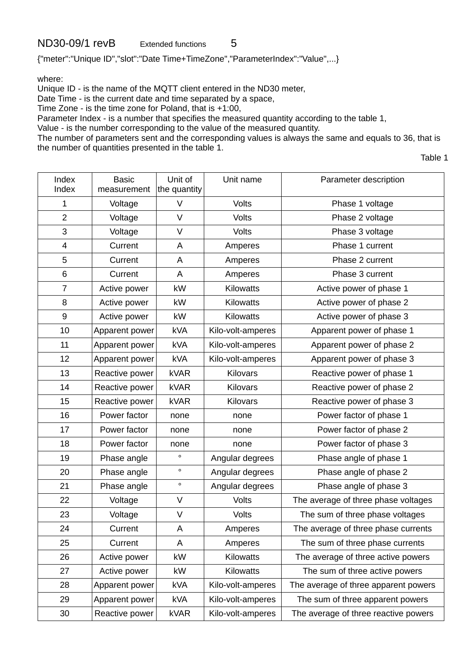{"meter":"Unique ID","slot":"Date Time+TimeZone","ParameterIndex":"Value",...}

where:

Unique ID - is the name of the MQTT client entered in the ND30 meter,

Date Time - is the current date and time separated by a space,

Time Zone - is the time zone for Poland, that is +1:00,

Parameter Index - is a number that specifies the measured quantity according to the table 1,

Value - is the number corresponding to the value of the measured quantity.

The number of parameters sent and the corresponding values is always the same and equals to 36, that is the number of quantities presented in the table 1.

Table 1

| Index<br>Index | <b>Basic</b><br>measurement | Unit of<br>the quantity | Unit name         | Parameter description                |
|----------------|-----------------------------|-------------------------|-------------------|--------------------------------------|
| 1              | Voltage                     | $\vee$                  | Volts             | Phase 1 voltage                      |
| $\overline{2}$ | Voltage                     | $\vee$                  | Volts             | Phase 2 voltage                      |
| 3              | Voltage                     | $\vee$                  | <b>Volts</b>      | Phase 3 voltage                      |
| $\overline{4}$ | Current                     | A                       | Amperes           | Phase 1 current                      |
| 5              | Current                     | A                       | Amperes           | Phase 2 current                      |
| 6              | Current                     | A                       | Amperes           | Phase 3 current                      |
| $\overline{7}$ | Active power                | kW                      | Kilowatts         | Active power of phase 1              |
| 8              | Active power                | kW                      | <b>Kilowatts</b>  | Active power of phase 2              |
| 9              | Active power                | kW                      | <b>Kilowatts</b>  | Active power of phase 3              |
| 10             | Apparent power              | kVA                     | Kilo-volt-amperes | Apparent power of phase 1            |
| 11             | Apparent power              | <b>kVA</b>              | Kilo-volt-amperes | Apparent power of phase 2            |
| 12             | Apparent power              | <b>kVA</b>              | Kilo-volt-amperes | Apparent power of phase 3            |
| 13             | Reactive power              | <b>kVAR</b>             | Kilovars          | Reactive power of phase 1            |
| 14             | Reactive power              | <b>kVAR</b>             | Kilovars          | Reactive power of phase 2            |
| 15             | Reactive power              | <b>kVAR</b>             | Kilovars          | Reactive power of phase 3            |
| 16             | Power factor                | none                    | none              | Power factor of phase 1              |
| 17             | Power factor                | none                    | none              | Power factor of phase 2              |
| 18             | Power factor                | none                    | none              | Power factor of phase 3              |
| 19             | Phase angle                 | $\circ$                 | Angular degrees   | Phase angle of phase 1               |
| 20             | Phase angle                 | $\circ$                 | Angular degrees   | Phase angle of phase 2               |
| 21             | Phase angle                 | $\circ$                 | Angular degrees   | Phase angle of phase 3               |
| 22             | Voltage                     | V                       | <b>Volts</b>      | The average of three phase voltages  |
| 23             | Voltage                     | $\mathsf V$             | <b>Volts</b>      | The sum of three phase voltages      |
| 24             | Current                     | A                       | Amperes           | The average of three phase currents  |
| 25             | Current                     | A                       | Amperes           | The sum of three phase currents      |
| 26             | Active power                | kW                      | Kilowatts         | The average of three active powers   |
| 27             | Active power                | kW                      | Kilowatts         | The sum of three active powers       |
| 28             | Apparent power              | kVA                     | Kilo-volt-amperes | The average of three apparent powers |
| 29             | Apparent power              | kVA                     | Kilo-volt-amperes | The sum of three apparent powers     |
| 30             | Reactive power              | <b>kVAR</b>             | Kilo-volt-amperes | The average of three reactive powers |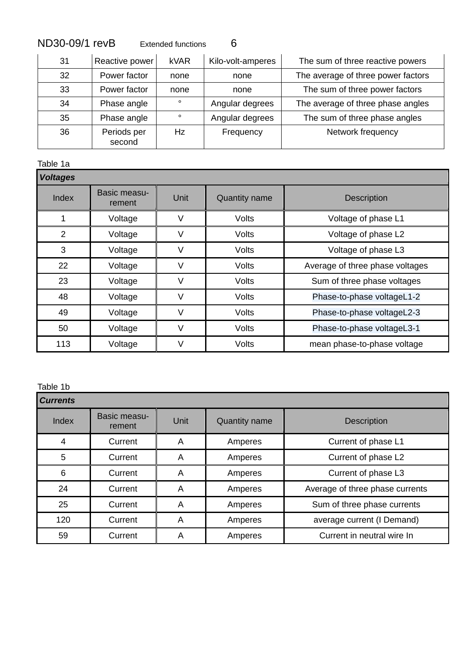| 31 | Reactive power        | <b>kVAR</b> | Kilo-volt-amperes | The sum of three reactive powers   |
|----|-----------------------|-------------|-------------------|------------------------------------|
| 32 | Power factor          | none        | none              | The average of three power factors |
| 33 | Power factor          | none        | none              | The sum of three power factors     |
| 34 | Phase angle           | $\circ$     | Angular degrees   | The average of three phase angles  |
| 35 | Phase angle           | $\circ$     | Angular degrees   | The sum of three phase angles      |
| 36 | Periods per<br>second | Hz          | Frequency         | Network frequency                  |

Table 1a **Table 1a Table 1a Table 1a Table 1a Table 1a Table 1a Table 1a Table 1a Table 1a Table 1a Table 1a Table 1a Table 1a Table 1a Table 1a Table 1a Table 1a Table 1a Table 1a Tab** 

| <b>Voltages</b> |                        |      |                      |                                 |  |  |  |
|-----------------|------------------------|------|----------------------|---------------------------------|--|--|--|
| Index           | Basic measu-<br>rement | Unit | <b>Quantity name</b> | <b>Description</b>              |  |  |  |
|                 | Voltage                | V    | Volts                | Voltage of phase L1             |  |  |  |
| $\overline{2}$  | Voltage                | V    | Volts                | Voltage of phase L2             |  |  |  |
| 3               | Voltage                | V    | Volts                | Voltage of phase L3             |  |  |  |
| 22              | Voltage                | V    | Volts                | Average of three phase voltages |  |  |  |
| 23              | Voltage                | V    | Volts                | Sum of three phase voltages     |  |  |  |
| 48              | Voltage                | V    | Volts                | Phase-to-phase voltageL1-2      |  |  |  |
| 49              | Voltage                | V    | Volts                | Phase-to-phase voltageL2-3      |  |  |  |
| 50              | Voltage                | V    | Volts                | Phase-to-phase voltageL3-1      |  |  |  |
| 113             | Voltage                | V    | Volts                | mean phase-to-phase voltage     |  |  |  |

#### Table 1b

| <b>Currents</b> |                        |      |                      |                                 |  |  |
|-----------------|------------------------|------|----------------------|---------------------------------|--|--|
| Index           | Basic measu-<br>rement | Unit | <b>Quantity name</b> | <b>Description</b>              |  |  |
| 4               | Current                | A    | Amperes              | Current of phase L1             |  |  |
| 5               | Current                | A    | Amperes              | Current of phase L2             |  |  |
| 6               | Current                | A    | Amperes              | Current of phase L3             |  |  |
| 24              | Current                | A    | Amperes              | Average of three phase currents |  |  |
| 25              | Current                | A    | Amperes              | Sum of three phase currents     |  |  |
| 120             | Current                | A    | Amperes              | average current (I Demand)      |  |  |
| 59              | Current                | Α    | Amperes              | Current in neutral wire In      |  |  |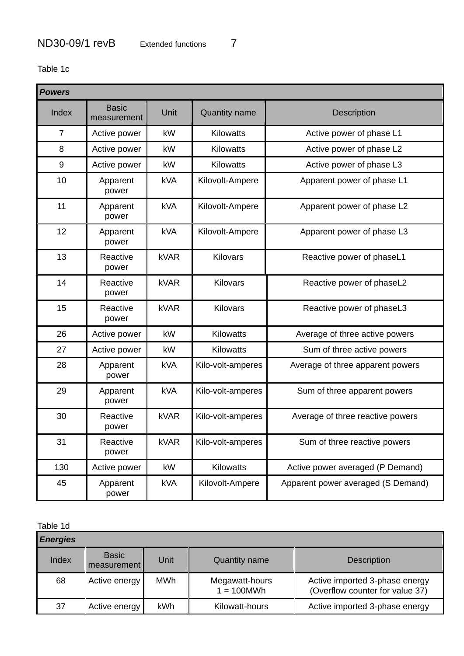Table 1c

| <b>Powers</b>  |                             |             |                      |                                    |  |  |
|----------------|-----------------------------|-------------|----------------------|------------------------------------|--|--|
| Index          | <b>Basic</b><br>measurement | Unit        | <b>Quantity name</b> | <b>Description</b>                 |  |  |
| $\overline{7}$ | Active power                | kW          | Kilowatts            | Active power of phase L1           |  |  |
| 8              | Active power                | kW          | <b>Kilowatts</b>     | Active power of phase L2           |  |  |
| 9              | Active power                | kW          | <b>Kilowatts</b>     | Active power of phase L3           |  |  |
| 10             | Apparent<br>power           | <b>kVA</b>  | Kilovolt-Ampere      | Apparent power of phase L1         |  |  |
| 11             | Apparent<br>power           | <b>kVA</b>  | Kilovolt-Ampere      | Apparent power of phase L2         |  |  |
| 12             | Apparent<br>power           | <b>kVA</b>  | Kilovolt-Ampere      | Apparent power of phase L3         |  |  |
| 13             | Reactive<br>power           | kVAR        | <b>Kilovars</b>      | Reactive power of phaseL1          |  |  |
| 14             | Reactive<br>power           | kVAR        | Kilovars             | Reactive power of phaseL2          |  |  |
| 15             | Reactive<br>power           | kVAR        | <b>Kilovars</b>      | Reactive power of phaseL3          |  |  |
| 26             | Active power                | kW          | Kilowatts            | Average of three active powers     |  |  |
| 27             | Active power                | kW          | Kilowatts            | Sum of three active powers         |  |  |
| 28             | Apparent<br>power           | <b>kVA</b>  | Kilo-volt-amperes    | Average of three apparent powers   |  |  |
| 29             | Apparent<br>power           | <b>kVA</b>  | Kilo-volt-amperes    | Sum of three apparent powers       |  |  |
| 30             | Reactive<br>power           | <b>kVAR</b> | Kilo-volt-amperes    | Average of three reactive powers   |  |  |
| 31             | Reactive<br>power           | <b>kVAR</b> | Kilo-volt-amperes    | Sum of three reactive powers       |  |  |
| 130            | Active power                | kW          | Kilowatts            | Active power averaged (P Demand)   |  |  |
| 45             | Apparent<br>power           | <b>kVA</b>  | Kilovolt-Ampere      | Apparent power averaged (S Demand) |  |  |

Table 1d

| iavic Tu        |                               |      |                                 |                                                                   |  |  |  |
|-----------------|-------------------------------|------|---------------------------------|-------------------------------------------------------------------|--|--|--|
| <b>Energies</b> |                               |      |                                 |                                                                   |  |  |  |
| Index           | <b>Basic</b><br>  measurement | Unit | <b>Quantity name</b>            | <b>Description</b>                                                |  |  |  |
| 68              | Active energy                 | MWh  | Megawatt-hours<br>$1 = 100$ MWh | Active imported 3-phase energy<br>(Overflow counter for value 37) |  |  |  |
| 37              | Active energy                 | kWh  | Kilowatt-hours                  | Active imported 3-phase energy                                    |  |  |  |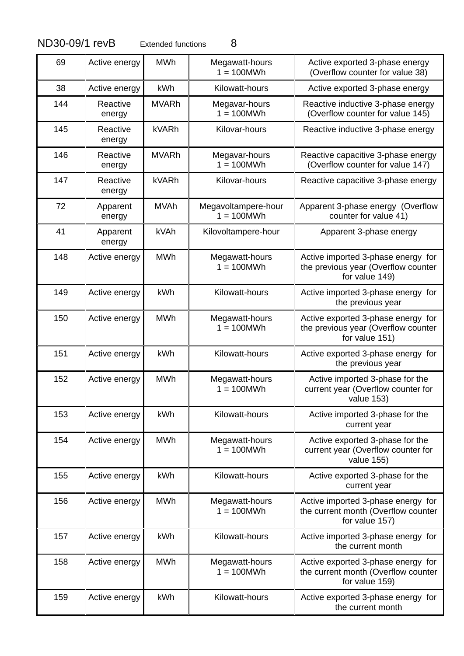| 69  | Active energy      | <b>MWh</b>   | Megawatt-hours<br>$1 = 100$ MWh     | Active exported 3-phase energy<br>(Overflow counter for value 38)                           |
|-----|--------------------|--------------|-------------------------------------|---------------------------------------------------------------------------------------------|
| 38  | Active energy      | kWh          | Kilowatt-hours                      | Active exported 3-phase energy                                                              |
| 144 | Reactive<br>energy | <b>MVARh</b> | Megavar-hours<br>$1 = 100MWh$       | Reactive inductive 3-phase energy<br>(Overflow counter for value 145)                       |
| 145 | Reactive<br>energy | <b>kVARh</b> | Kilovar-hours                       | Reactive inductive 3-phase energy                                                           |
| 146 | Reactive<br>energy | <b>MVARh</b> | Megavar-hours<br>$1 = 100$ MWh      | Reactive capacitive 3-phase energy<br>(Overflow counter for value 147)                      |
| 147 | Reactive<br>energy | <b>kVARh</b> | Kilovar-hours                       | Reactive capacitive 3-phase energy                                                          |
| 72  | Apparent<br>energy | <b>MVAh</b>  | Megavoltampere-hour<br>$1 = 100MWh$ | Apparent 3-phase energy (Overflow<br>counter for value 41)                                  |
| 41  | Apparent<br>energy | kVAh         | Kilovoltampere-hour                 | Apparent 3-phase energy                                                                     |
| 148 | Active energy      | <b>MWh</b>   | Megawatt-hours<br>$1 = 100MWh$      | Active imported 3-phase energy for<br>the previous year (Overflow counter<br>for value 149) |
| 149 | Active energy      | kWh          | Kilowatt-hours                      | Active imported 3-phase energy for<br>the previous year                                     |
| 150 | Active energy      | <b>MWh</b>   | Megawatt-hours<br>$1 = 100MWh$      | Active exported 3-phase energy for<br>the previous year (Overflow counter<br>for value 151) |
| 151 | Active energy      | kWh          | Kilowatt-hours                      | Active exported 3-phase energy for<br>the previous year                                     |
| 152 | Active energy      | <b>MWh</b>   | Megawatt-hours<br>$1 = 100$ MWh     | Active imported 3-phase for the<br>current year (Overflow counter for<br>value 153)         |
| 153 | Active energy      | kWh          | Kilowatt-hours                      | Active imported 3-phase for the<br>current year                                             |
| 154 | Active energy      | <b>MWh</b>   | Megawatt-hours<br>$1 = 100$ MWh     | Active exported 3-phase for the<br>current year (Overflow counter for<br>value 155)         |
| 155 | Active energy      | kWh          | Kilowatt-hours                      | Active exported 3-phase for the<br>current year                                             |
| 156 | Active energy      | <b>MWh</b>   | Megawatt-hours<br>$1 = 100MWh$      | Active imported 3-phase energy for<br>the current month (Overflow counter<br>for value 157) |
| 157 | Active energy      | kWh          | Kilowatt-hours                      | Active imported 3-phase energy for<br>the current month                                     |
| 158 | Active energy      | <b>MWh</b>   | Megawatt-hours<br>$1 = 100$ MWh     | Active exported 3-phase energy for<br>the current month (Overflow counter<br>for value 159) |
| 159 | Active energy      | kWh          | Kilowatt-hours                      | Active exported 3-phase energy for<br>the current month                                     |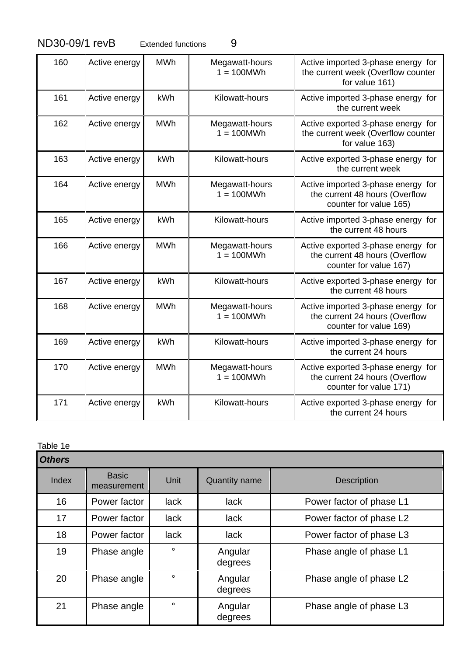| 160 | Active energy | <b>MWh</b> | Megawatt-hours<br>$1 = 100$ MWh | Active imported 3-phase energy for<br>the current week (Overflow counter<br>for value 161)     |
|-----|---------------|------------|---------------------------------|------------------------------------------------------------------------------------------------|
| 161 | Active energy | kWh        | Kilowatt-hours                  | Active imported 3-phase energy for<br>the current week                                         |
| 162 | Active energy | <b>MWh</b> | Megawatt-hours<br>$1 = 100$ MWh | Active exported 3-phase energy for<br>the current week (Overflow counter<br>for value 163)     |
| 163 | Active energy | kWh        | Kilowatt-hours                  | Active exported 3-phase energy for<br>the current week                                         |
| 164 | Active energy | <b>MWh</b> | Megawatt-hours<br>$1 = 100$ MWh | Active imported 3-phase energy for<br>the current 48 hours (Overflow<br>counter for value 165) |
| 165 | Active energy | kWh        | Kilowatt-hours                  | Active imported 3-phase energy for<br>the current 48 hours                                     |
| 166 | Active energy | <b>MWh</b> | Megawatt-hours<br>$1 = 100$ MWh | Active exported 3-phase energy for<br>the current 48 hours (Overflow<br>counter for value 167) |
| 167 | Active energy | kWh        | Kilowatt-hours                  | Active exported 3-phase energy for<br>the current 48 hours                                     |
| 168 | Active energy | <b>MWh</b> | Megawatt-hours<br>$1 = 100$ MWh | Active imported 3-phase energy for<br>the current 24 hours (Overflow<br>counter for value 169) |
| 169 | Active energy | kWh        | Kilowatt-hours                  | Active imported 3-phase energy for<br>the current 24 hours                                     |
| 170 | Active energy | <b>MWh</b> | Megawatt-hours<br>$1 = 100$ MWh | Active exported 3-phase energy for<br>the current 24 hours (Overflow<br>counter for value 171) |
| 171 | Active energy | kWh        | Kilowatt-hours                  | Active exported 3-phase energy for<br>the current 24 hours                                     |

Table 1e

| <b>Others</b> |                             |             |                      |                          |  |
|---------------|-----------------------------|-------------|----------------------|--------------------------|--|
| Index         | <b>Basic</b><br>measurement | Unit        | <b>Quantity name</b> | <b>Description</b>       |  |
| 16            | Power factor                | <b>lack</b> | lack                 | Power factor of phase L1 |  |
| 17            | Power factor                | <b>lack</b> | lack                 | Power factor of phase L2 |  |
| 18            | Power factor                | <b>lack</b> | lack                 | Power factor of phase L3 |  |
| 19            | Phase angle                 | $\circ$     | Angular<br>degrees   | Phase angle of phase L1  |  |
| 20            | Phase angle                 | $\circ$     | Angular<br>degrees   | Phase angle of phase L2  |  |
| 21            | Phase angle                 | $\circ$     | Angular<br>degrees   | Phase angle of phase L3  |  |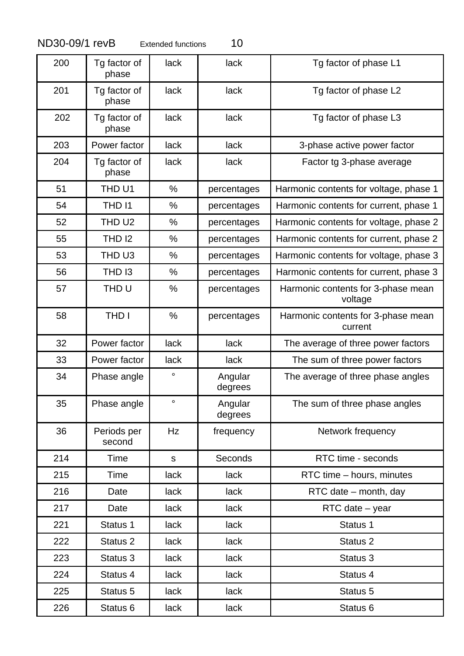|  |  | ND30-09/1 revE |  |
|--|--|----------------|--|
|  |  |                |  |

| 200 | Tg factor of<br>phase | lack         | lack               | Tg factor of phase L1                         |
|-----|-----------------------|--------------|--------------------|-----------------------------------------------|
| 201 | Tg factor of<br>phase | lack         | lack               | Tg factor of phase L2                         |
| 202 | Tg factor of<br>phase | lack         | lack               | Tg factor of phase L3                         |
| 203 | Power factor          | lack         | lack               | 3-phase active power factor                   |
| 204 | Tg factor of<br>phase | lack         | lack               | Factor tg 3-phase average                     |
| 51  | THD U1                | %            | percentages        | Harmonic contents for voltage, phase 1        |
| 54  | THD 11                | $\%$         | percentages        | Harmonic contents for current, phase 1        |
| 52  | THD U <sub>2</sub>    | %            | percentages        | Harmonic contents for voltage, phase 2        |
| 55  | <b>THD 12</b>         | %            | percentages        | Harmonic contents for current, phase 2        |
| 53  | THD U3                | %            | percentages        | Harmonic contents for voltage, phase 3        |
| 56  | THD <sub>13</sub>     | %            | percentages        | Harmonic contents for current, phase 3        |
| 57  | THD U                 | $\%$         | percentages        | Harmonic contents for 3-phase mean<br>voltage |
| 58  | <b>THD I</b>          | $\%$         | percentages        | Harmonic contents for 3-phase mean<br>current |
| 32  | Power factor          | lack         | lack               | The average of three power factors            |
| 33  | Power factor          | lack         | lack               | The sum of three power factors                |
| 34  | Phase angle           | $\circ$      | Angular<br>degrees | The average of three phase angles             |
| 35  | Phase angle           | $\circ$      | Angular<br>degrees | The sum of three phase angles                 |
| 36  | Periods per<br>second | Hz           | frequency          | Network frequency                             |
| 214 | Time                  | $\mathsf{s}$ | Seconds            | RTC time - seconds                            |
| 215 | Time                  | lack         | lack               | RTC time - hours, minutes                     |
| 216 | Date                  | lack         | lack               | RTC date – month, day                         |
| 217 | Date                  | lack         | lack               | RTC date - year                               |
| 221 | Status 1              | lack         | lack               | Status 1                                      |
| 222 | Status 2              | lack         | lack               | Status 2                                      |
| 223 | Status 3              | lack         | lack               | Status 3                                      |
| 224 | Status 4              | lack         | lack               | Status 4                                      |
| 225 | Status 5              | lack         | lack               | Status 5                                      |
| 226 | Status 6              | lack         | lack               | Status <sub>6</sub>                           |
|     |                       |              |                    |                                               |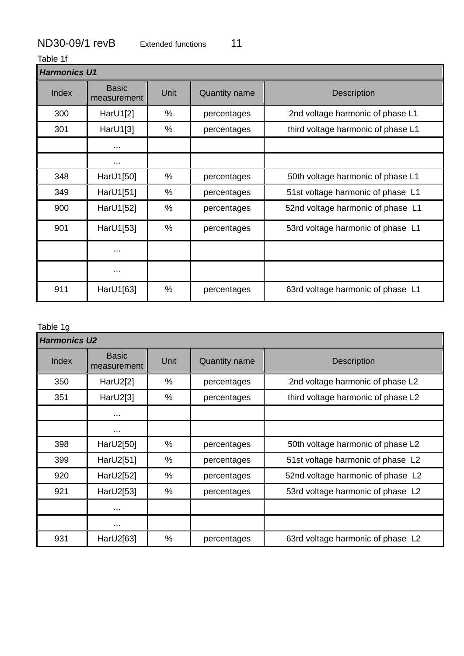Table 1f

| <b>Harmonics U1</b> |                             |      |                      |                                    |  |
|---------------------|-----------------------------|------|----------------------|------------------------------------|--|
| Index               | <b>Basic</b><br>measurement | Unit | <b>Quantity name</b> | <b>Description</b>                 |  |
| 300                 | Har $U1[2]$                 | %    | percentages          | 2nd voltage harmonic of phase L1   |  |
| 301                 | Har $U1[3]$                 | %    | percentages          | third voltage harmonic of phase L1 |  |
|                     | $\cdots$                    |      |                      |                                    |  |
|                     | $\cdots$                    |      |                      |                                    |  |
| 348                 | HarU1[50]                   | %    | percentages          | 50th voltage harmonic of phase L1  |  |
| 349                 | HarU1[51]                   | $\%$ | percentages          | 51st voltage harmonic of phase L1  |  |
| 900                 | HarU1[52]                   | %    | percentages          | 52nd voltage harmonic of phase L1  |  |
| 901                 | HarU1[53]                   | %    | percentages          | 53rd voltage harmonic of phase L1  |  |
|                     | $\cdots$                    |      |                      |                                    |  |
|                     | $\cdots$                    |      |                      |                                    |  |
| 911                 | HarU1[63]                   | %    | percentages          | 63rd voltage harmonic of phase L1  |  |

#### Table 1g

|       | <b>Harmonics U2</b>         |      |                      |                                    |  |  |
|-------|-----------------------------|------|----------------------|------------------------------------|--|--|
| Index | <b>Basic</b><br>measurement | Unit | <b>Quantity name</b> | <b>Description</b>                 |  |  |
| 350   | Har $U2[2]$                 | %    | percentages          | 2nd voltage harmonic of phase L2   |  |  |
| 351   | HarU2[3]                    | %    | percentages          | third voltage harmonic of phase L2 |  |  |
|       | $\cdots$                    |      |                      |                                    |  |  |
|       | $\cdots$                    |      |                      |                                    |  |  |
| 398   | HarU2[50]                   | %    | percentages          | 50th voltage harmonic of phase L2  |  |  |
| 399   | HarU2[51]                   | %    | percentages          | 51st voltage harmonic of phase L2  |  |  |
| 920   | HarU2[52]                   | %    | percentages          | 52nd voltage harmonic of phase L2  |  |  |
| 921   | HarU2[53]                   | %    | percentages          | 53rd voltage harmonic of phase L2  |  |  |
|       | $\cdots$                    |      |                      |                                    |  |  |
|       | $\cdots$                    |      |                      |                                    |  |  |
| 931   | HarU2[63]                   | %    | percentages          | 63rd voltage harmonic of phase L2  |  |  |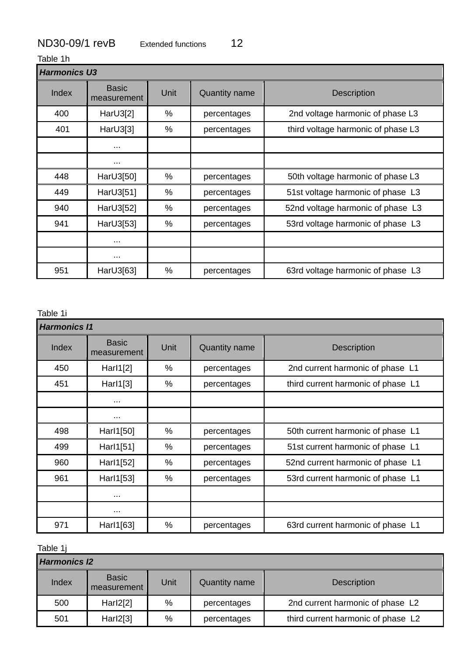Table 1h

| <b>Harmonics U3</b> |                             |               |                      |                                    |  |
|---------------------|-----------------------------|---------------|----------------------|------------------------------------|--|
| Index               | <b>Basic</b><br>measurement | Unit          | <b>Quantity name</b> | <b>Description</b>                 |  |
| 400                 | HarU3[2]                    | %             | percentages          | 2nd voltage harmonic of phase L3   |  |
| 401                 | HarU3[3]                    | %             | percentages          | third voltage harmonic of phase L3 |  |
|                     | $\cdots$                    |               |                      |                                    |  |
|                     | $\cdots$                    |               |                      |                                    |  |
| 448                 | HarU3[50]                   | $\%$          | percentages          | 50th voltage harmonic of phase L3  |  |
| 449                 | HarU3[51]                   | %             | percentages          | 51st voltage harmonic of phase L3  |  |
| 940                 | HarU3[52]                   | %             | percentages          | 52nd voltage harmonic of phase L3  |  |
| 941                 | HarU3[53]                   | %             | percentages          | 53rd voltage harmonic of phase L3  |  |
|                     | $\cdots$                    |               |                      |                                    |  |
|                     | $\cdots$                    |               |                      |                                    |  |
| 951                 | HarU3[63]                   | $\frac{0}{0}$ | percentages          | 63rd voltage harmonic of phase L3  |  |

### Table 1i

| <b>Harmonics 11</b> |                             |      |                      |                                    |  |
|---------------------|-----------------------------|------|----------------------|------------------------------------|--|
| Index               | <b>Basic</b><br>measurement | Unit | <b>Quantity name</b> | <b>Description</b>                 |  |
| 450                 | Harl $1[2]$                 | %    | percentages          | 2nd current harmonic of phase L1   |  |
| 451                 | Harl $1[3]$                 | %    | percentages          | third current harmonic of phase L1 |  |
|                     | $\cdots$                    |      |                      |                                    |  |
|                     | $\cdots$                    |      |                      |                                    |  |
| 498                 | Harl1[50]                   | %    | percentages          | 50th current harmonic of phase L1  |  |
| 499                 | Harl1[51]                   | %    | percentages          | 51st current harmonic of phase L1  |  |
| 960                 | Harl1[52]                   | %    | percentages          | 52nd current harmonic of phase L1  |  |
| 961                 | Harl1[53]                   | $\%$ | percentages          | 53rd current harmonic of phase L1  |  |
|                     | $\cdots$                    |      |                      |                                    |  |
|                     | $\cdots$                    |      |                      |                                    |  |
| 971                 | Harl1[63]                   | %    | percentages          | 63rd current harmonic of phase L1  |  |

Table 1j

| <b>Harmonics 12</b> |                             |      |                      |                                    |  |
|---------------------|-----------------------------|------|----------------------|------------------------------------|--|
| Index               | <b>Basic</b><br>measurement | Unit | <b>Quantity name</b> | <b>Description</b>                 |  |
| 500                 | Harl2[2]                    | %    | percentages          | 2nd current harmonic of phase L2   |  |
| 501                 | Harl2[3]                    | %    | percentages          | third current harmonic of phase L2 |  |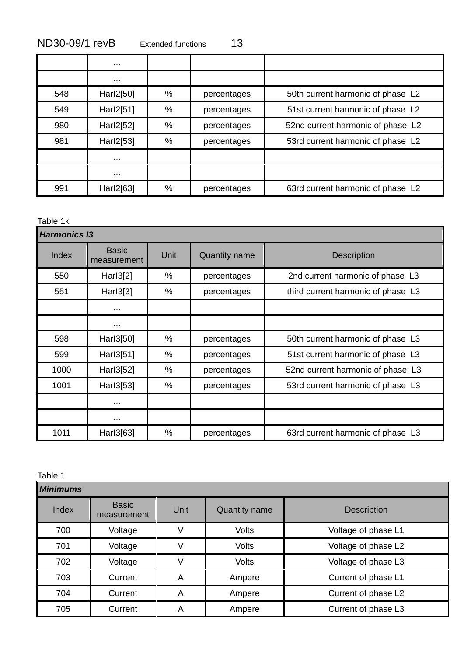| ND30-09/1 revB | Extended functions | 13 |
|----------------|--------------------|----|
|----------------|--------------------|----|

|     | $\cdots$  |      |             |                                   |
|-----|-----------|------|-------------|-----------------------------------|
|     | $\cdots$  |      |             |                                   |
| 548 | Harl2[50] | %    | percentages | 50th current harmonic of phase L2 |
| 549 | Harl2[51] | %    | percentages | 51st current harmonic of phase L2 |
| 980 | Harl2[52] | %    | percentages | 52nd current harmonic of phase L2 |
| 981 | Harl2[53] | %    | percentages | 53rd current harmonic of phase L2 |
|     | $\cdots$  |      |             |                                   |
|     | $\cdots$  |      |             |                                   |
| 991 | Harl2[63] | $\%$ | percentages | 63rd current harmonic of phase L2 |

Table 1k

|       | <b>Harmonics 13</b>         |      |                      |                                    |  |  |
|-------|-----------------------------|------|----------------------|------------------------------------|--|--|
| Index | <b>Basic</b><br>measurement | Unit | <b>Quantity name</b> | <b>Description</b>                 |  |  |
| 550   | Harl3[2]                    | %    | percentages          | 2nd current harmonic of phase L3   |  |  |
| 551   | Harl3[3]                    | %    | percentages          | third current harmonic of phase L3 |  |  |
|       | $\cdots$                    |      |                      |                                    |  |  |
|       | $\cdots$                    |      |                      |                                    |  |  |
| 598   | Harl3[50]                   | $\%$ | percentages          | 50th current harmonic of phase L3  |  |  |
| 599   | Harl3[51]                   | %    | percentages          | 51st current harmonic of phase L3  |  |  |
| 1000  | Harl3[52]                   | %    | percentages          | 52nd current harmonic of phase L3  |  |  |
| 1001  | Harl3[53]                   | %    | percentages          | 53rd current harmonic of phase L3  |  |  |
|       | $\cdots$                    |      |                      |                                    |  |  |
|       | $\cdots$                    |      |                      |                                    |  |  |
| 1011  | Harl3[63]                   | %    | percentages          | 63rd current harmonic of phase L3  |  |  |

Table 1l

| <b>Minimums</b> |                             |      |                      |                     |  |
|-----------------|-----------------------------|------|----------------------|---------------------|--|
| Index           | <b>Basic</b><br>measurement | Unit | <b>Quantity name</b> | <b>Description</b>  |  |
| 700             | Voltage                     |      | <b>Volts</b>         | Voltage of phase L1 |  |
| 701             | Voltage                     | V    | <b>Volts</b>         | Voltage of phase L2 |  |
| 702             | Voltage                     |      | <b>Volts</b>         | Voltage of phase L3 |  |
| 703             | Current                     | A    | Ampere               | Current of phase L1 |  |
| 704             | Current                     | Α    | Ampere               | Current of phase L2 |  |
| 705             | Current                     | A    | Ampere               | Current of phase L3 |  |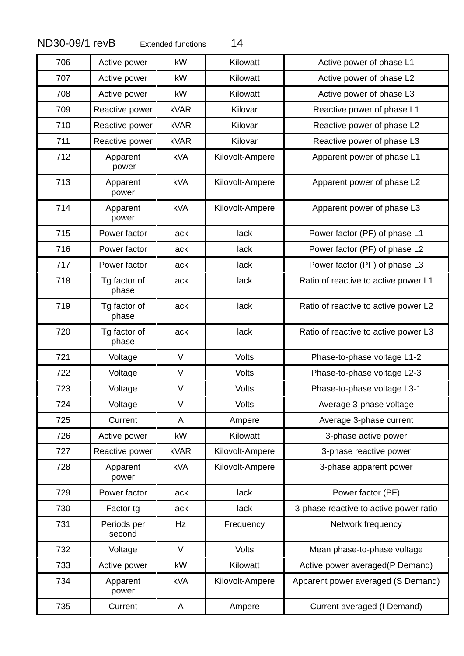| 706 | Active power          | kW          | Kilowatt        | Active power of phase L1               |
|-----|-----------------------|-------------|-----------------|----------------------------------------|
| 707 | Active power          | kW          | Kilowatt        | Active power of phase L2               |
| 708 | Active power          | kW          | Kilowatt        | Active power of phase L3               |
| 709 | Reactive power        | <b>kVAR</b> | Kilovar         | Reactive power of phase L1             |
| 710 | Reactive power        | <b>kVAR</b> | Kilovar         | Reactive power of phase L2             |
| 711 | Reactive power        | <b>kVAR</b> | Kilovar         | Reactive power of phase L3             |
| 712 | Apparent<br>power     | <b>kVA</b>  | Kilovolt-Ampere | Apparent power of phase L1             |
| 713 | Apparent<br>power     | <b>kVA</b>  | Kilovolt-Ampere | Apparent power of phase L2             |
| 714 | Apparent<br>power     | <b>kVA</b>  | Kilovolt-Ampere | Apparent power of phase L3             |
| 715 | Power factor          | lack        | lack            | Power factor (PF) of phase L1          |
| 716 | Power factor          | <b>lack</b> | lack            | Power factor (PF) of phase L2          |
| 717 | Power factor          | lack        | lack            | Power factor (PF) of phase L3          |
| 718 | Tg factor of<br>phase | lack        | lack            | Ratio of reactive to active power L1   |
| 719 | Tg factor of<br>phase | lack        | lack            | Ratio of reactive to active power L2   |
| 720 | Tg factor of<br>phase | lack        | lack            | Ratio of reactive to active power L3   |
| 721 | Voltage               | $\vee$      | Volts           | Phase-to-phase voltage L1-2            |
| 722 | Voltage               | $\vee$      | Volts           | Phase-to-phase voltage L2-3            |
| 723 | Voltage               | $\vee$      | Volts           | Phase-to-phase voltage L3-1            |
| 724 | Voltage               | $\vee$      | <b>Volts</b>    | Average 3-phase voltage                |
| 725 | Current               | A           | Ampere          | Average 3-phase current                |
| 726 | Active power          | kW          | Kilowatt        | 3-phase active power                   |
| 727 | Reactive power        | <b>kVAR</b> | Kilovolt-Ampere | 3-phase reactive power                 |
| 728 | Apparent<br>power     | <b>kVA</b>  | Kilovolt-Ampere | 3-phase apparent power                 |
| 729 | Power factor          | lack        | lack            | Power factor (PF)                      |
| 730 | Factor tg             | lack        | lack            | 3-phase reactive to active power ratio |
| 731 | Periods per<br>second | Hz          | Frequency       | Network frequency                      |
| 732 | Voltage               | $\vee$      | Volts           | Mean phase-to-phase voltage            |
| 733 | Active power          | kW          | Kilowatt        | Active power averaged(P Demand)        |
| 734 | Apparent<br>power     | <b>kVA</b>  | Kilovolt-Ampere | Apparent power averaged (S Demand)     |
| 735 | Current               | A           | Ampere          | Current averaged (I Demand)            |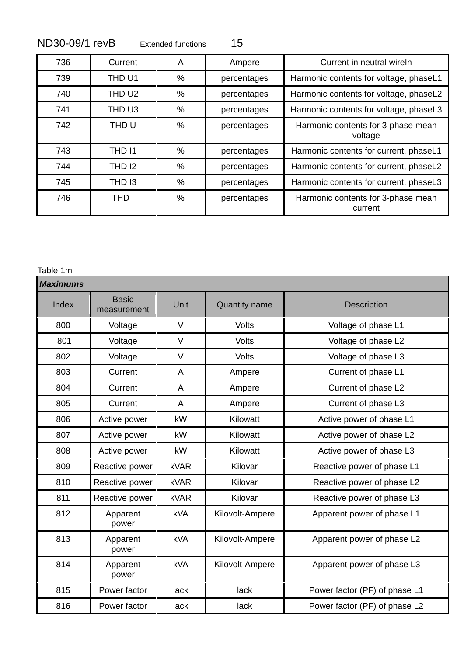| 736 | Current | A | Ampere      | Current in neutral wireln                     |
|-----|---------|---|-------------|-----------------------------------------------|
| 739 | THD U1  | % | percentages | Harmonic contents for voltage, phaseL1        |
| 740 | THD U2  | % | percentages | Harmonic contents for voltage, phaseL2        |
| 741 | THD U3  | % | percentages | Harmonic contents for voltage, phaseL3        |
| 742 | THD U   | % | percentages | Harmonic contents for 3-phase mean<br>voltage |
| 743 | THD 11  | % | percentages | Harmonic contents for current, phaseL1        |
| 744 | THD 12  | % | percentages | Harmonic contents for current, phaseL2        |
| 745 | THD 13  | % | percentages | Harmonic contents for current, phaseL3        |
| 746 | THD I   | % | percentages | Harmonic contents for 3-phase mean<br>current |

#### Table 1m

| <b>Maximums</b> |                             |             |                      |                               |  |
|-----------------|-----------------------------|-------------|----------------------|-------------------------------|--|
| Index           | <b>Basic</b><br>measurement | Unit        | <b>Quantity name</b> | <b>Description</b>            |  |
| 800             | Voltage                     | $\vee$      | <b>Volts</b>         | Voltage of phase L1           |  |
| 801             | Voltage                     | $\vee$      | Volts                | Voltage of phase L2           |  |
| 802             | Voltage                     | V           | Volts                | Voltage of phase L3           |  |
| 803             | Current                     | A           | Ampere               | Current of phase L1           |  |
| 804             | Current                     | A           | Ampere               | Current of phase L2           |  |
| 805             | Current                     | A           | Ampere               | Current of phase L3           |  |
| 806             | Active power                | kW          | Kilowatt             | Active power of phase L1      |  |
| 807             | Active power                | kW          | Kilowatt             | Active power of phase L2      |  |
| 808             | Active power                | kW          | Kilowatt             | Active power of phase L3      |  |
| 809             | Reactive power              | <b>kVAR</b> | Kilovar              | Reactive power of phase L1    |  |
| 810             | Reactive power              | <b>kVAR</b> | Kilovar              | Reactive power of phase L2    |  |
| 811             | Reactive power              | <b>kVAR</b> | Kilovar              | Reactive power of phase L3    |  |
| 812             | Apparent<br>power           | <b>kVA</b>  | Kilovolt-Ampere      | Apparent power of phase L1    |  |
| 813             | Apparent<br>power           | <b>kVA</b>  | Kilovolt-Ampere      | Apparent power of phase L2    |  |
| 814             | Apparent<br>power           | <b>kVA</b>  | Kilovolt-Ampere      | Apparent power of phase L3    |  |
| 815             | Power factor                | lack        | lack                 | Power factor (PF) of phase L1 |  |
| 816             | Power factor                | lack        | lack                 | Power factor (PF) of phase L2 |  |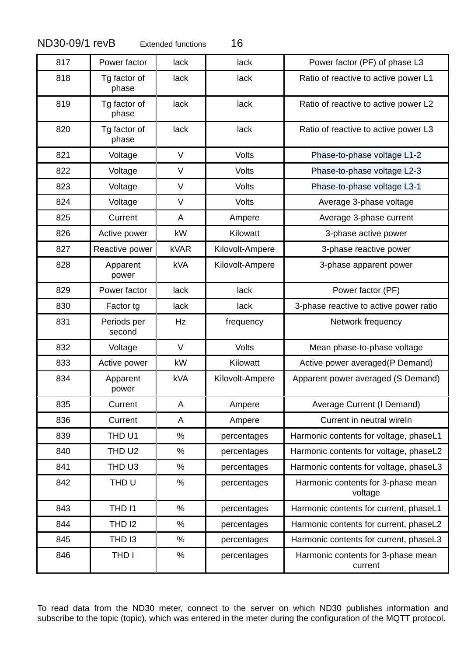| 817 | Power factor          | lack        | lack            | Power factor (PF) of phase L3                 |
|-----|-----------------------|-------------|-----------------|-----------------------------------------------|
| 818 | Tg factor of<br>phase | lack        | lack            | Ratio of reactive to active power L1          |
| 819 | Tg factor of<br>phase | lack        | lack            | Ratio of reactive to active power L2          |
| 820 | Tg factor of<br>phase | lack        | lack            | Ratio of reactive to active power L3          |
| 821 | Voltage               | V           | Volts           | Phase-to-phase voltage L1-2                   |
| 822 | Voltage               | V           | Volts           | Phase-to-phase voltage L2-3                   |
| 823 | Voltage               | V           | Volts           | Phase-to-phase voltage L3-1                   |
| 824 | Voltage               | V           | <b>Volts</b>    | Average 3-phase voltage                       |
| 825 | Current               | A           | Ampere          | Average 3-phase current                       |
| 826 | Active power          | kW          | Kilowatt        | 3-phase active power                          |
| 827 | Reactive power        | <b>kVAR</b> | Kilovolt-Ampere | 3-phase reactive power                        |
| 828 | Apparent<br>power     | <b>kVA</b>  | Kilovolt-Ampere | 3-phase apparent power                        |
| 829 | Power factor          | lack        | lack            | Power factor (PF)                             |
| 830 | Factor tg             | lack        | lack            | 3-phase reactive to active power ratio        |
| 831 | Periods per<br>second | Hz          | frequency       | Network frequency                             |
| 832 | Voltage               | $\vee$      | Volts           | Mean phase-to-phase voltage                   |
| 833 | Active power          | kW          | Kilowatt        | Active power averaged (P Demand)              |
| 834 | Apparent<br>power     | <b>kVA</b>  | Kilovolt-Ampere | Apparent power averaged (S Demand)            |
| 835 | Current               | A           | Ampere          | Average Current (I Demand)                    |
| 836 | Current               | A           | Ampere          | Current in neutral wireln                     |
| 839 | THD U1                | $\%$        | percentages     | Harmonic contents for voltage, phaseL1        |
| 840 | THD U2                | %           | percentages     | Harmonic contents for voltage, phaseL2        |
| 841 | THD U3                | %           | percentages     | Harmonic contents for voltage, phaseL3        |
| 842 | THD <sub>U</sub>      | $\%$        | percentages     | Harmonic contents for 3-phase mean<br>voltage |
| 843 | THD I1                | %           | percentages     | Harmonic contents for current, phaseL1        |
| 844 | <b>THD 12</b>         | $\%$        | percentages     | Harmonic contents for current, phaseL2        |
| 845 | THD 13                | %           | percentages     | Harmonic contents for current, phaseL3        |
| 846 | THD I                 | $\%$        | percentages     | Harmonic contents for 3-phase mean<br>current |

To read data from the ND30 meter, connect to the server on which ND30 publishes information and subscribe to the topic (topic), which was entered in the meter during the configuration of the MQTT protocol.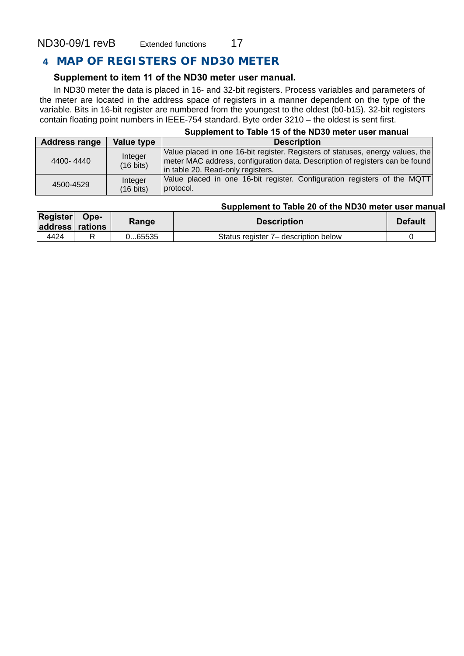### **4 MAP OF REGISTERS OF ND30 METER**

#### **Supplement to item 11 of the ND30 meter user manual.**

In ND30 meter the data is placed in 16- and 32-bit registers. Process variables and parameters of the meter are located in the address space of registers in a manner dependent on the type of the variable. Bits in 16-bit register are numbered from the youngest to the oldest (b0-b15). 32-bit registers contain floating point numbers in IEEE-754 standard. Byte order 3210 – the oldest is sent first.

#### **Supplement to Table 15 of the ND30 meter user manual**

| <b>Address range</b> | Value type                     | <b>Description</b>                                                                                                                                                                                    |
|----------------------|--------------------------------|-------------------------------------------------------------------------------------------------------------------------------------------------------------------------------------------------------|
| 4400-4440            | Integer<br>$(16 \text{ bits})$ | Value placed in one 16-bit register. Registers of statuses, energy values, the<br>  meter MAC address, configuration data. Description of registers can be found<br>in table 20. Read-only registers. |
| 4500-4529            | Integer<br>(16 bits)           | Value placed in one 16-bit register. Configuration registers of the MQTT<br>protocol.                                                                                                                 |

#### **Supplement to Table 20 of the ND30 meter user manual**

| <b>Register</b><br>address rations | Ope- | Range   | <b>Description</b>                   | <b>Default</b> |
|------------------------------------|------|---------|--------------------------------------|----------------|
| 4424                               |      | 0…65535 | Status register 7– description below |                |